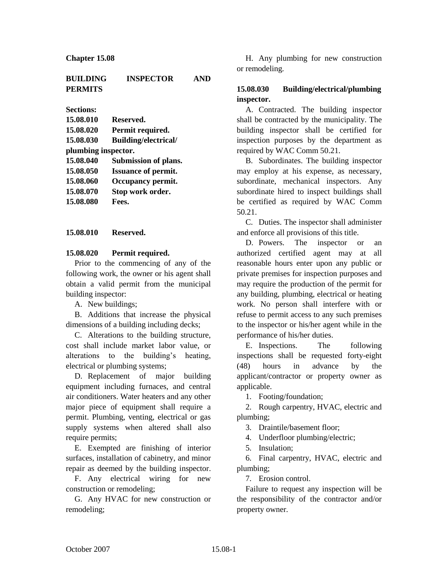| <b>BUILDING</b> | <b>INSPECTOR</b> | <b>AND</b> |
|-----------------|------------------|------------|
| <b>PERMITS</b>  |                  |            |

**Sections:**

| 15.08.010           | Reserved.                  |  |
|---------------------|----------------------------|--|
| 15.08.020           | Permit required.           |  |
| 15.08.030           | Building/electrical/       |  |
| plumbing inspector. |                            |  |
| 15.08.040           | Submission of plans.       |  |
| 15.08.050           | <b>Issuance of permit.</b> |  |
| 15.08.060           | Occupancy permit.          |  |
| 15.08.070           | Stop work order.           |  |
| 15.08.080           | Fees.                      |  |
|                     |                            |  |

**15.08.010 Reserved.**

#### **15.08.020 Permit required.**

Prior to the commencing of any of the following work, the owner or his agent shall obtain a valid permit from the municipal building inspector:

A. New buildings;

B. Additions that increase the physical dimensions of a building including decks;

C. Alterations to the building structure, cost shall include market labor value, or alterations to the building's heating, electrical or plumbing systems;

D. Replacement of major building equipment including furnaces, and central air conditioners. Water heaters and any other major piece of equipment shall require a permit. Plumbing, venting, electrical or gas supply systems when altered shall also require permits;

E. Exempted are finishing of interior surfaces, installation of cabinetry, and minor repair as deemed by the building inspector.

F. Any electrical wiring for new construction or remodeling;

G. Any HVAC for new construction or remodeling;

H. Any plumbing for new construction or remodeling.

### **15.08.030 Building/electrical/plumbing inspector.**

A. Contracted. The building inspector shall be contracted by the municipality. The building inspector shall be certified for inspection purposes by the department as required by WAC Comm 50.21.

B. Subordinates. The building inspector may employ at his expense, as necessary, subordinate, mechanical inspectors. Any subordinate hired to inspect buildings shall be certified as required by WAC Comm 50.21.

C. Duties. The inspector shall administer and enforce all provisions of this title.

D. Powers. The inspector or an authorized certified agent may at all reasonable hours enter upon any public or private premises for inspection purposes and may require the production of the permit for any building, plumbing, electrical or heating work. No person shall interfere with or refuse to permit access to any such premises to the inspector or his/her agent while in the performance of his/her duties.

E. Inspections. The following inspections shall be requested forty-eight (48) hours in advance by the applicant/contractor or property owner as applicable.

1. Footing/foundation;

2. Rough carpentry, HVAC, electric and plumbing;

3. Draintile/basement floor;

4. Underfloor plumbing/electric;

5. Insulation;

6. Final carpentry, HVAC, electric and plumbing;

7. Erosion control.

Failure to request any inspection will be the responsibility of the contractor and/or property owner.